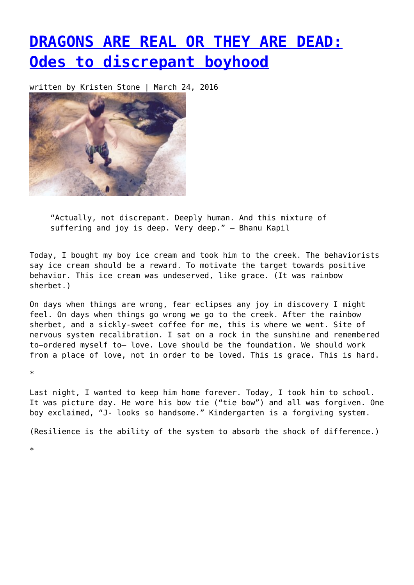## **[DRAGONS ARE REAL OR THEY ARE DEAD:](https://entropymag.org/dragons-are-real-or-they-are-dead-odes-to-discrepant-boyhood/) [Odes to discrepant boyhood](https://entropymag.org/dragons-are-real-or-they-are-dead-odes-to-discrepant-boyhood/)**

written by Kristen Stone | March 24, 2016



"Actually, not discrepant. Deeply human. And this mixture of suffering and joy is deep. Very deep." – Bhanu Kapil

Today, I bought my boy ice cream and took him to the creek. The behaviorists say ice cream should be a reward. To motivate the target towards positive behavior. This ice cream was undeserved, like grace. (It was rainbow sherbet.)

On days when things are wrong, fear eclipses any joy in discovery I might feel. On days when things go wrong we go to the creek. After the rainbow sherbet, and a sickly-sweet coffee for me, this is where we went. Site of nervous system recalibration. I sat on a rock in the sunshine and remembered to—ordered myself to– love. Love should be the foundation. We should work from a place of love, not in order to be loved. This is grace. This is hard.

\*

\*

Last night, I wanted to keep him home forever. Today, I took him to school. It was picture day. He wore his bow tie ("tie bow") and all was forgiven. One boy exclaimed, "J- looks so handsome." Kindergarten is a forgiving system.

(Resilience is the ability of the system to absorb the shock of difference.)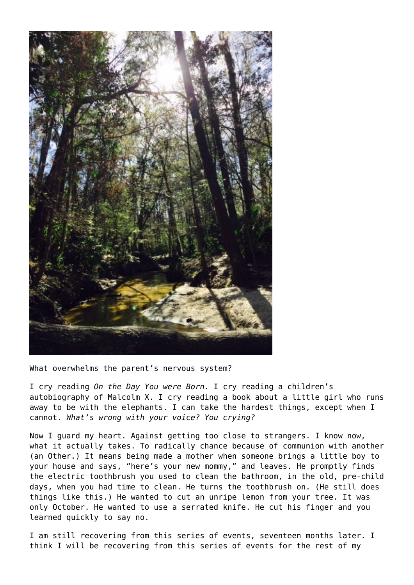

What overwhelms the parent's nervous system?

I cry reading *On the Day You were Born.* I cry reading a children's autobiography of Malcolm X. I cry reading a book about a little girl who runs away to be with the elephants. I can take the hardest things, except when I cannot. *What's wrong with your voice? You crying?*

Now I guard my heart. Against getting too close to strangers. I know now, what it actually takes. To radically chance because of communion with another (an Other.) It means being made a mother when someone brings a little boy to your house and says, "here's your new mommy," and leaves. He promptly finds the electric toothbrush you used to clean the bathroom, in the old, pre-child days, when you had time to clean. He turns the toothbrush on. (He still does things like this.) He wanted to cut an unripe lemon from your tree. It was only October. He wanted to use a serrated knife. He cut his finger and you learned quickly to say no.

I am still recovering from this series of events, seventeen months later. I think I will be recovering from this series of events for the rest of my